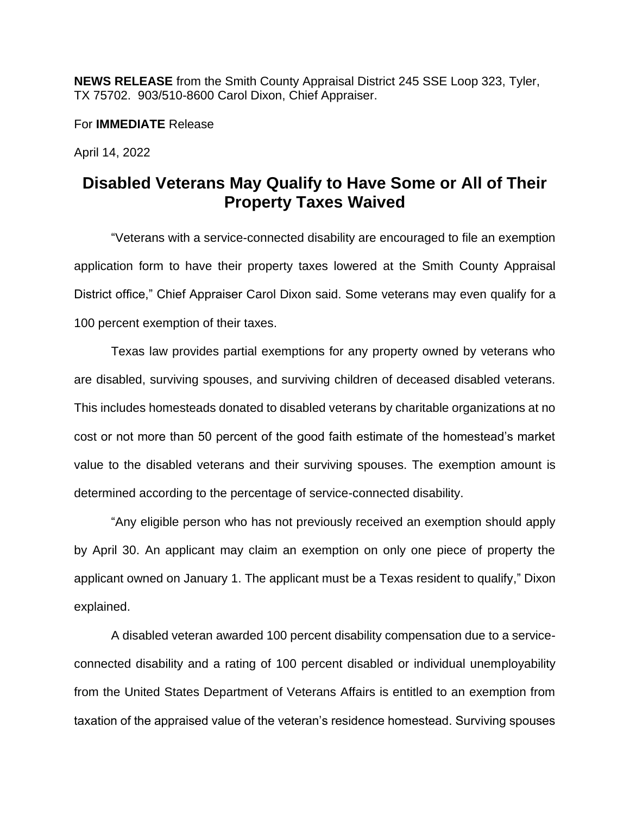**NEWS RELEASE** from the Smith County Appraisal District 245 SSE Loop 323, Tyler, TX 75702. 903/510-8600 Carol Dixon, Chief Appraiser.

For **IMMEDIATE** Release

April 14, 2022

## **Disabled Veterans May Qualify to Have Some or All of Their Property Taxes Waived**

"Veterans with a service-connected disability are encouraged to file an exemption application form to have their property taxes lowered at the Smith County Appraisal District office," Chief Appraiser Carol Dixon said. Some veterans may even qualify for a 100 percent exemption of their taxes.

Texas law provides partial exemptions for any property owned by veterans who are disabled, surviving spouses, and surviving children of deceased disabled veterans. This includes homesteads donated to disabled veterans by charitable organizations at no cost or not more than 50 percent of the good faith estimate of the homestead's market value to the disabled veterans and their surviving spouses. The exemption amount is determined according to the percentage of service-connected disability.

"Any eligible person who has not previously received an exemption should apply by April 30. An applicant may claim an exemption on only one piece of property the applicant owned on January 1. The applicant must be a Texas resident to qualify," Dixon explained.

A disabled veteran awarded 100 percent disability compensation due to a serviceconnected disability and a rating of 100 percent disabled or individual unemployability from the United States Department of Veterans Affairs is entitled to an exemption from taxation of the appraised value of the veteran's residence homestead. Surviving spouses